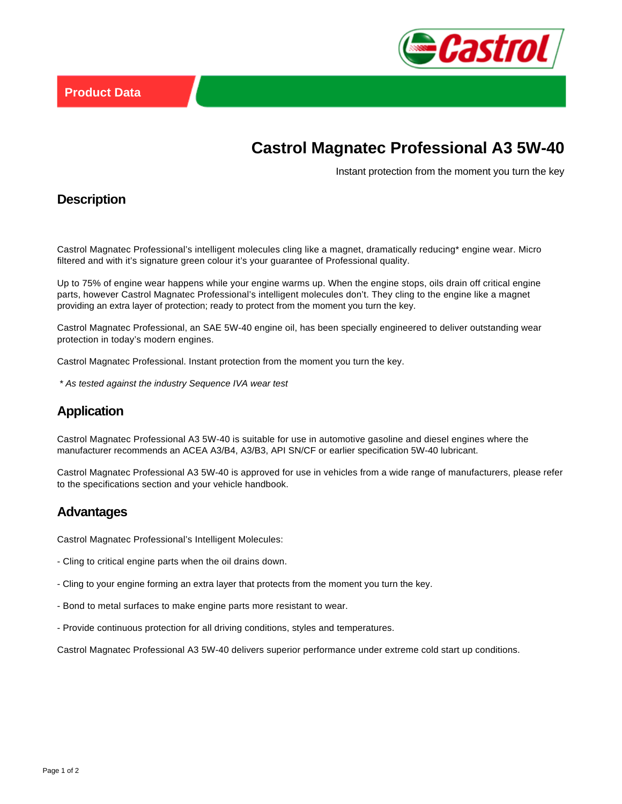

# **Castrol Magnatec Professional A3 5W-40**

Instant protection from the moment you turn the key

## **Description**

Castrol Magnatec Professional's intelligent molecules cling like a magnet, dramatically reducing\* engine wear. Micro filtered and with it's signature green colour it's your guarantee of Professional quality.

Up to 75% of engine wear happens while your engine warms up. When the engine stops, oils drain off critical engine parts, however Castrol Magnatec Professional's intelligent molecules don't. They cling to the engine like a magnet providing an extra layer of protection; ready to protect from the moment you turn the key.

Castrol Magnatec Professional, an SAE 5W-40 engine oil, has been specially engineered to deliver outstanding wear protection in today's modern engines.

Castrol Magnatec Professional. Instant protection from the moment you turn the key.

\* As tested against the industry Sequence IVA wear test

## **Application**

Castrol Magnatec Professional A3 5W-40 is suitable for use in automotive gasoline and diesel engines where the manufacturer recommends an ACEA A3/B4, A3/B3, API SN/CF or earlier specification 5W-40 lubricant.

Castrol Magnatec Professional A3 5W-40 is approved for use in vehicles from a wide range of manufacturers, please refer to the specifications section and your vehicle handbook.

#### **Advantages**

Castrol Magnatec Professional's Intelligent Molecules:

- Cling to critical engine parts when the oil drains down.
- Cling to your engine forming an extra layer that protects from the moment you turn the key.
- Bond to metal surfaces to make engine parts more resistant to wear.
- Provide continuous protection for all driving conditions, styles and temperatures.

Castrol Magnatec Professional A3 5W-40 delivers superior performance under extreme cold start up conditions.